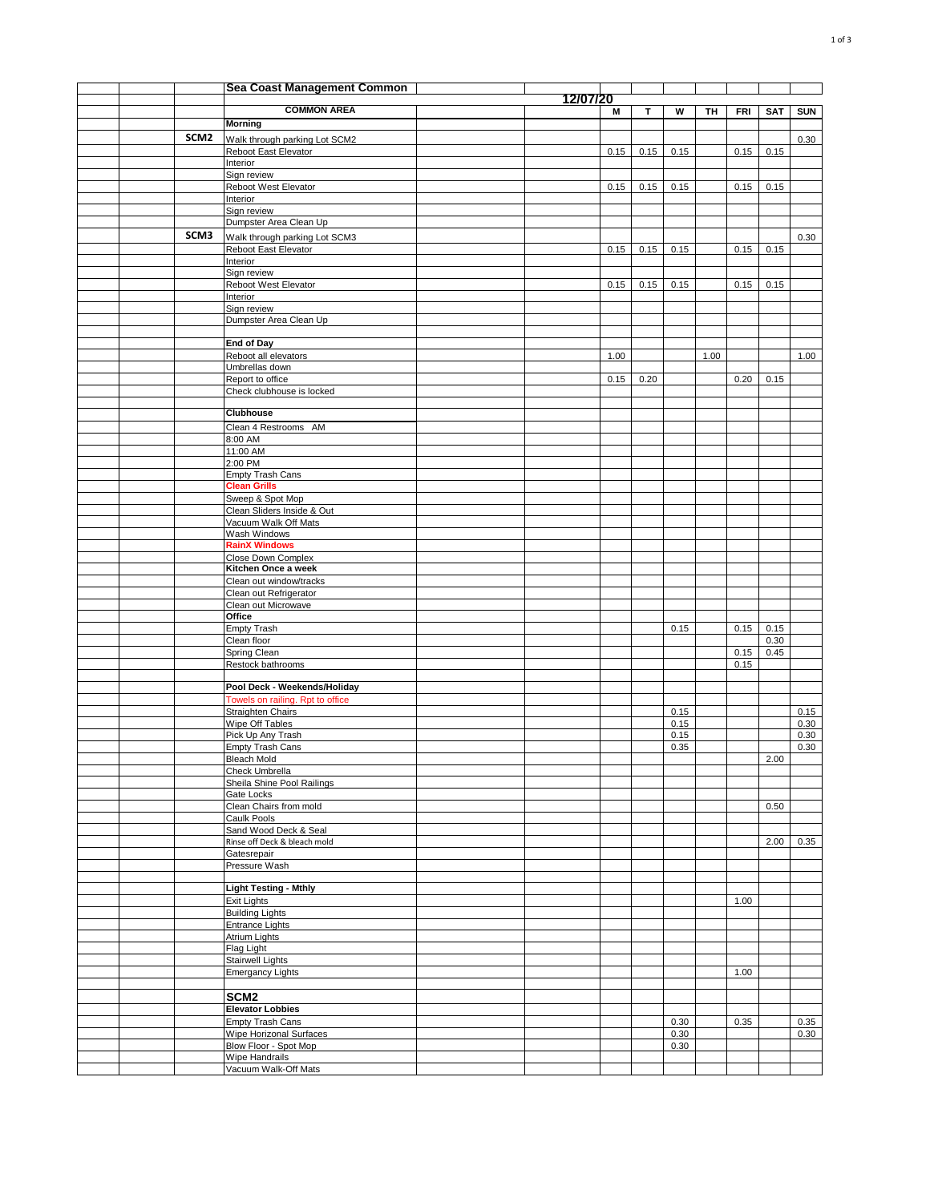|  |                  | Sea Coast Management Common                           |          |      |      |      |      |            |              |            |
|--|------------------|-------------------------------------------------------|----------|------|------|------|------|------------|--------------|------------|
|  |                  | <b>COMMON AREA</b>                                    | 12/07/20 | М    | T.   | W    | TH   |            |              |            |
|  |                  | <b>Morning</b>                                        |          |      |      |      |      | <b>FRI</b> | SAT          | <b>SUN</b> |
|  | SCM <sub>2</sub> | Walk through parking Lot SCM2                         |          |      |      |      |      |            |              | 0.30       |
|  |                  | Reboot East Elevator                                  |          | 0.15 | 0.15 | 0.15 |      | 0.15       | 0.15         |            |
|  |                  | Interior                                              |          |      |      |      |      |            |              |            |
|  |                  | Sign review<br>Reboot West Elevator                   |          | 0.15 | 0.15 | 0.15 |      | 0.15       | 0.15         |            |
|  |                  | Interior                                              |          |      |      |      |      |            |              |            |
|  |                  | Sign review                                           |          |      |      |      |      |            |              |            |
|  |                  | Dumpster Area Clean Up                                |          |      |      |      |      |            |              |            |
|  | SCM3             | Walk through parking Lot SCM3                         |          |      |      |      |      |            |              | 0.30       |
|  |                  | Reboot East Elevator<br>Interior                      |          | 0.15 | 0.15 | 0.15 |      | 0.15       | 0.15         |            |
|  |                  | Sign review                                           |          |      |      |      |      |            |              |            |
|  |                  | Reboot West Elevator                                  |          | 0.15 | 0.15 | 0.15 |      | 0.15       | 0.15         |            |
|  |                  | Interior<br>Sign review                               |          |      |      |      |      |            |              |            |
|  |                  | Dumpster Area Clean Up                                |          |      |      |      |      |            |              |            |
|  |                  |                                                       |          |      |      |      |      |            |              |            |
|  |                  | <b>End of Day</b>                                     |          |      |      |      |      |            |              |            |
|  |                  | Reboot all elevators<br>Umbrellas down                |          | 1.00 |      |      | 1.00 |            |              | 1.00       |
|  |                  | Report to office                                      |          | 0.15 | 0.20 |      |      | 0.20       | 0.15         |            |
|  |                  | Check clubhouse is locked                             |          |      |      |      |      |            |              |            |
|  |                  | <b>Clubhouse</b>                                      |          |      |      |      |      |            |              |            |
|  |                  | Clean 4 Restrooms AM                                  |          |      |      |      |      |            |              |            |
|  |                  | 8:00 AM                                               |          |      |      |      |      |            |              |            |
|  |                  | 11:00 AM                                              |          |      |      |      |      |            |              |            |
|  |                  | 2:00 PM                                               |          |      |      |      |      |            |              |            |
|  |                  | Empty Trash Cans<br><b>Clean Grills</b>               |          |      |      |      |      |            |              |            |
|  |                  | Sweep & Spot Mop                                      |          |      |      |      |      |            |              |            |
|  |                  | Clean Sliders Inside & Out                            |          |      |      |      |      |            |              |            |
|  |                  | Vacuum Walk Off Mats                                  |          |      |      |      |      |            |              |            |
|  |                  | Wash Windows<br><b>RainX Windows</b>                  |          |      |      |      |      |            |              |            |
|  |                  | Close Down Complex                                    |          |      |      |      |      |            |              |            |
|  |                  | Kitchen Once a week                                   |          |      |      |      |      |            |              |            |
|  |                  | Clean out window/tracks                               |          |      |      |      |      |            |              |            |
|  |                  | Clean out Refrigerator<br>Clean out Microwave         |          |      |      |      |      |            |              |            |
|  |                  | Office                                                |          |      |      |      |      |            |              |            |
|  |                  | <b>Empty Trash</b>                                    |          |      |      | 0.15 |      | 0.15       | 0.15         |            |
|  |                  | Clean floor<br>Spring Clean                           |          |      |      |      |      | 0.15       | 0.30<br>0.45 |            |
|  |                  | Restock bathrooms                                     |          |      |      |      |      | 0.15       |              |            |
|  |                  |                                                       |          |      |      |      |      |            |              |            |
|  |                  | Pool Deck - Weekends/Holiday                          |          |      |      |      |      |            |              |            |
|  |                  | Towels on railing. Rpt to office<br>Straighten Chairs |          |      |      | 0.15 |      |            |              | 0.15       |
|  |                  | Wipe Off Tables                                       |          |      |      | 0.15 |      |            |              | 0.30       |
|  |                  | Pick Up Any Trash                                     |          |      |      | 0.15 |      |            |              | 0.30       |
|  |                  | <b>Empty Trash Cans</b>                               |          |      |      | 0.35 |      |            |              | 0.30       |
|  |                  | <b>Bleach Mold</b><br>Check Umbrella                  |          |      |      |      |      |            | 2.00         |            |
|  |                  | Sheila Shine Pool Railings                            |          |      |      |      |      |            |              |            |
|  |                  | Gate Locks                                            |          |      |      |      |      |            |              |            |
|  |                  | Clean Chairs from mold<br>Caulk Pools                 |          |      |      |      |      |            | 0.50         |            |
|  |                  | Sand Wood Deck & Seal                                 |          |      |      |      |      |            |              |            |
|  |                  | Rinse off Deck & bleach mold                          |          |      |      |      |      |            | 2.00         | 0.35       |
|  |                  | Gatesrepair                                           |          |      |      |      |      |            |              |            |
|  |                  | Pressure Wash                                         |          |      |      |      |      |            |              |            |
|  |                  | <b>Light Testing - Mthly</b>                          |          |      |      |      |      |            |              |            |
|  |                  | <b>Exit Lights</b>                                    |          |      |      |      |      | 1.00       |              |            |
|  |                  | <b>Building Lights</b>                                |          |      |      |      |      |            |              |            |
|  |                  | Entrance Lights<br>Atrium Lights                      |          |      |      |      |      |            |              |            |
|  |                  | Flag Light                                            |          |      |      |      |      |            |              |            |
|  |                  | Stairwell Lights                                      |          |      |      |      |      |            |              |            |
|  |                  | <b>Emergancy Lights</b>                               |          |      |      |      |      | 1.00       |              |            |
|  |                  | SCM <sub>2</sub>                                      |          |      |      |      |      |            |              |            |
|  |                  | <b>Elevator Lobbies</b>                               |          |      |      |      |      |            |              |            |
|  |                  | <b>Empty Trash Cans</b>                               |          |      |      | 0.30 |      | 0.35       |              | 0.35       |
|  |                  | Wipe Horizonal Surfaces                               |          |      |      | 0.30 |      |            |              | 0.30       |
|  |                  | Blow Floor - Spot Mop                                 |          |      |      | 0.30 |      |            |              |            |
|  |                  | <b>Wipe Handrails</b><br>Vacuum Walk-Off Mats         |          |      |      |      |      |            |              |            |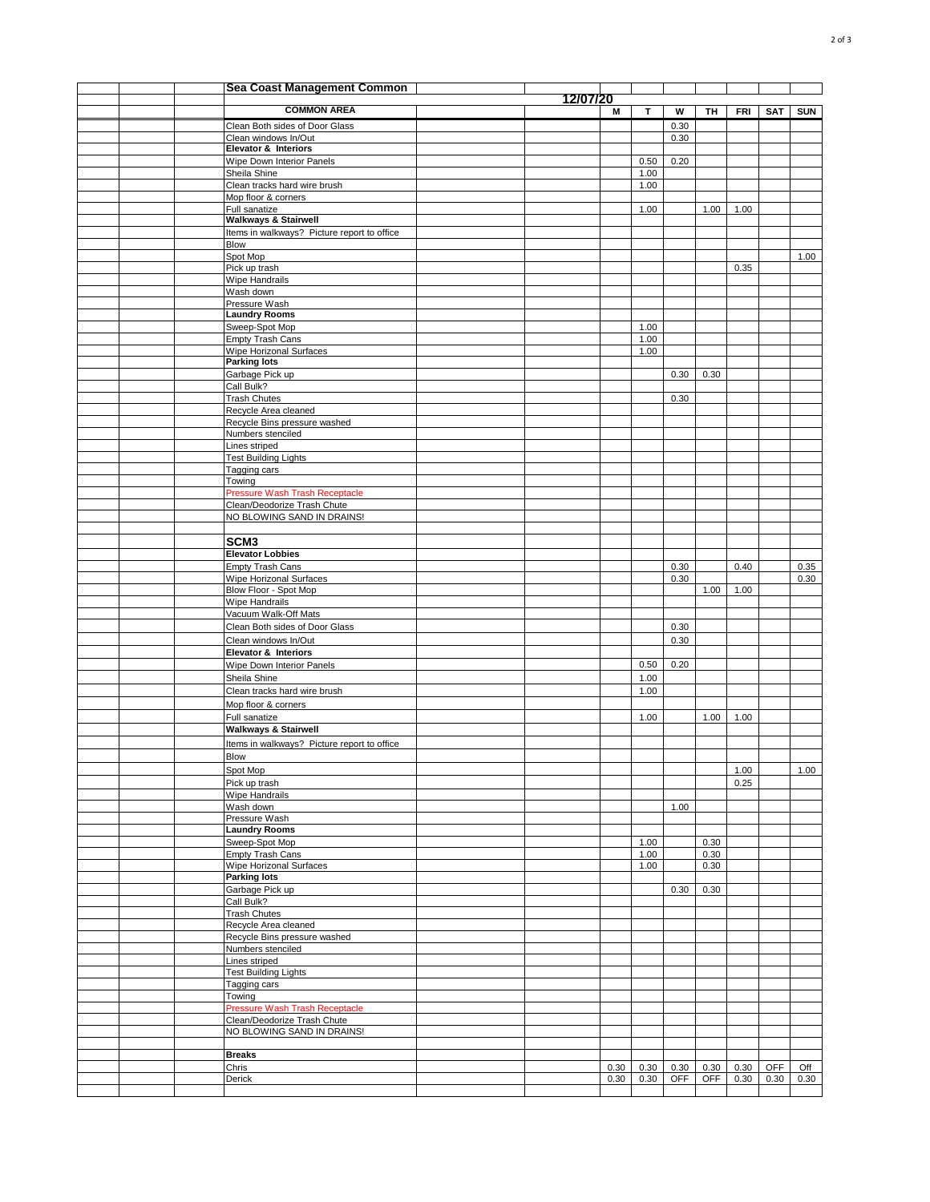|  | Sea Coast Management Common                                                    |          |      |              |      |              |      |      |            |
|--|--------------------------------------------------------------------------------|----------|------|--------------|------|--------------|------|------|------------|
|  | <b>COMMON AREA</b>                                                             | 12/07/20 | М    | T.           | W    | TH           | FRI  | SAT  | <b>SUN</b> |
|  | Clean Both sides of Door Glass                                                 |          |      |              | 0.30 |              |      |      |            |
|  | Clean windows In/Out                                                           |          |      |              | 0.30 |              |      |      |            |
|  | <b>Elevator &amp; Interiors</b>                                                |          |      |              |      |              |      |      |            |
|  | Wipe Down Interior Panels                                                      |          |      | 0.50         | 0.20 |              |      |      |            |
|  | Sheila Shine<br>Clean tracks hard wire brush                                   |          |      | 1.00<br>1.00 |      |              |      |      |            |
|  | Mop floor & corners                                                            |          |      |              |      |              |      |      |            |
|  | Full sanatize                                                                  |          |      | 1.00         |      | 1.00         | 1.00 |      |            |
|  | <b>Walkways &amp; Stairwell</b><br>Items in walkways? Picture report to office |          |      |              |      |              |      |      |            |
|  | Blow                                                                           |          |      |              |      |              |      |      |            |
|  | Spot Mop                                                                       |          |      |              |      |              |      |      | 1.00       |
|  | Pick up trash                                                                  |          |      |              |      |              | 0.35 |      |            |
|  | Wipe Handrails<br>Wash down                                                    |          |      |              |      |              |      |      |            |
|  | Pressure Wash                                                                  |          |      |              |      |              |      |      |            |
|  | <b>Laundry Rooms</b>                                                           |          |      |              |      |              |      |      |            |
|  | Sweep-Spot Mop                                                                 |          |      | 1.00         |      |              |      |      |            |
|  | <b>Empty Trash Cans</b>                                                        |          |      | 1.00         |      |              |      |      |            |
|  | Wipe Horizonal Surfaces<br><b>Parking lots</b>                                 |          |      | 1.00         |      |              |      |      |            |
|  | Garbage Pick up                                                                |          |      |              | 0.30 | 0.30         |      |      |            |
|  | Call Bulk?                                                                     |          |      |              |      |              |      |      |            |
|  | <b>Trash Chutes</b>                                                            |          |      |              | 0.30 |              |      |      |            |
|  | Recycle Area cleaned<br>Recycle Bins pressure washed                           |          |      |              |      |              |      |      |            |
|  | Numbers stenciled                                                              |          |      |              |      |              |      |      |            |
|  | Lines striped                                                                  |          |      |              |      |              |      |      |            |
|  | <b>Test Building Lights</b>                                                    |          |      |              |      |              |      |      |            |
|  | Tagging cars                                                                   |          |      |              |      |              |      |      |            |
|  | Towing<br>Pressure Wash Trash Receptacle                                       |          |      |              |      |              |      |      |            |
|  | Clean/Deodorize Trash Chute                                                    |          |      |              |      |              |      |      |            |
|  | NO BLOWING SAND IN DRAINS!                                                     |          |      |              |      |              |      |      |            |
|  |                                                                                |          |      |              |      |              |      |      |            |
|  | SCM <sub>3</sub>                                                               |          |      |              |      |              |      |      |            |
|  | <b>Elevator Lobbies</b><br>Empty Trash Cans                                    |          |      |              | 0.30 |              | 0.40 |      | 0.35       |
|  | Wipe Horizonal Surfaces                                                        |          |      |              | 0.30 |              |      |      | 0.30       |
|  | Blow Floor - Spot Mop                                                          |          |      |              |      | 1.00         | 1.00 |      |            |
|  | Wipe Handrails                                                                 |          |      |              |      |              |      |      |            |
|  | Vacuum Walk-Off Mats                                                           |          |      |              |      |              |      |      |            |
|  | Clean Both sides of Door Glass                                                 |          |      |              | 0.30 |              |      |      |            |
|  | Clean windows In/Out<br><b>Elevator &amp; Interiors</b>                        |          |      |              | 0.30 |              |      |      |            |
|  | Wipe Down Interior Panels                                                      |          |      | 0.50         | 0.20 |              |      |      |            |
|  | Sheila Shine                                                                   |          |      | 1.00         |      |              |      |      |            |
|  | Clean tracks hard wire brush                                                   |          |      | 1.00         |      |              |      |      |            |
|  | Mop floor & corners                                                            |          |      |              |      |              |      |      |            |
|  | Full sanatize                                                                  |          |      | 1.00         |      | 1.00         | 1.00 |      |            |
|  | <b>Walkways &amp; Stairwell</b>                                                |          |      |              |      |              |      |      |            |
|  | Items in walkways? Picture report to office                                    |          |      |              |      |              |      |      |            |
|  | Blow                                                                           |          |      |              |      |              |      |      |            |
|  | Spot Mop                                                                       |          |      |              |      |              | 1.00 |      | 1.00       |
|  | Pick up trash<br>Wipe Handrails                                                |          |      |              |      |              | 0.25 |      |            |
|  | Wash down                                                                      |          |      |              | 1.00 |              |      |      |            |
|  | Pressure Wash                                                                  |          |      |              |      |              |      |      |            |
|  | <b>Laundry Rooms</b>                                                           |          |      |              |      |              |      |      |            |
|  | Sweep-Spot Mop<br>Empty Trash Cans                                             |          |      | 1.00<br>1.00 |      | 0.30<br>0.30 |      |      |            |
|  | Wipe Horizonal Surfaces                                                        |          |      | 1.00         |      | 0.30         |      |      |            |
|  | <b>Parking lots</b>                                                            |          |      |              |      |              |      |      |            |
|  | Garbage Pick up                                                                |          |      |              | 0.30 | 0.30         |      |      |            |
|  | Call Bulk?                                                                     |          |      |              |      |              |      |      |            |
|  | <b>Trash Chutes</b><br>Recycle Area cleaned                                    |          |      |              |      |              |      |      |            |
|  | Recycle Bins pressure washed                                                   |          |      |              |      |              |      |      |            |
|  | Numbers stenciled                                                              |          |      |              |      |              |      |      |            |
|  | Lines striped                                                                  |          |      |              |      |              |      |      |            |
|  | <b>Test Building Lights</b>                                                    |          |      |              |      |              |      |      |            |
|  | Tagging cars<br>Towing                                                         |          |      |              |      |              |      |      |            |
|  | Pressure Wash Trash Receptacle                                                 |          |      |              |      |              |      |      |            |
|  | Clean/Deodorize Trash Chute                                                    |          |      |              |      |              |      |      |            |
|  | NO BLOWING SAND IN DRAINS!                                                     |          |      |              |      |              |      |      |            |
|  | <b>Breaks</b>                                                                  |          |      |              |      |              |      |      |            |
|  | Chris                                                                          |          | 0.30 | 0.30         | 0.30 | 0.30         | 0.30 | OFF  | Off        |
|  | Derick                                                                         |          | 0.30 | 0.30         | OFF  | <b>OFF</b>   | 0.30 | 0.30 | 0.30       |
|  |                                                                                |          |      |              |      |              |      |      |            |